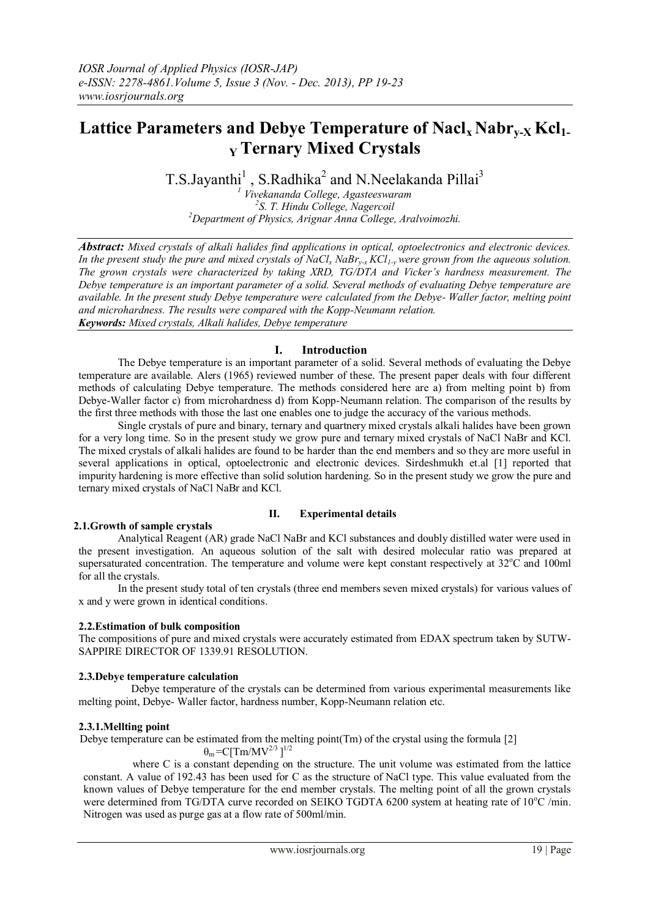# **Lattice Parameters and Debye Temperature of Naclx Nabry-X Kcl1- <sup>Y</sup>Ternary Mixed Crystals**

T.S.Jayanthi<sup>1</sup>, S.Radhika<sup>2</sup> and N.Neelakanda Pillai<sup>3</sup>

*<sup>1</sup> Vivekananda College, Agasteeswaram 2 S. T. Hindu College, Nagercoil <sup>2</sup>Department of Physics, Arignar Anna College, Aralvoimozhi.*

*Abstract: Mixed crystals of alkali halides find applications in optical, optoelectronics and electronic devices. In the present study the pure and mixed crystals of NaCl<sup>x</sup> NaBry-x KCl1-y were grown from the aqueous solution. The grown crystals were characterized by taking XRD, TG/DTA and Vicker's hardness measurement. The Debye temperature is an important parameter of a solid. Several methods of evaluating Debye temperature are available. In the present study Debye temperature were calculated from the Debye- Waller factor, melting point and microhardness. The results were compared with the Kopp-Neumann relation. Keywords: Mixed crystals, Alkali halides, Debye temperature*

# **I. Introduction**

The Debye temperature is an important parameter of a solid. Several methods of evaluating the Debye temperature are available. Alers (1965) reviewed number of these. The present paper deals with four different methods of calculating Debye temperature. The methods considered here are a) from melting point b) from Debye-Waller factor c) from microhardness d) from Kopp-Neumann relation. The comparison of the results by the first three methods with those the last one enables one to judge the accuracy of the various methods.

Single crystals of pure and binary, ternary and quartnery mixed crystals alkali halides have been grown for a very long time. So in the present study we grow pure and ternary mixed crystals of NaCl NaBr and KCl. The mixed crystals of alkali halides are found to be harder than the end members and so they are more useful in several applications in optical, optoelectronic and electronic devices. Sirdeshmukh et.al [1] reported that impurity hardening is more effective than solid solution hardening. So in the present study we grow the pure and ternary mixed crystals of NaCl NaBr and KCl.

# **II. Experimental details**

# **2.1.Growth of sample crystals**

Analytical Reagent (AR) grade NaCl NaBr and KCl substances and doubly distilled water were used in the present investigation. An aqueous solution of the salt with desired molecular ratio was prepared at supersaturated concentration. The temperature and volume were kept constant respectively at  $32^{\circ}$ C and 100ml for all the crystals.

In the present study total of ten crystals (three end members seven mixed crystals) for various values of x and y were grown in identical conditions.

# **2.2.Estimation of bulk composition**

The compositions of pure and mixed crystals were accurately estimated from EDAX spectrum taken by SUTW-SAPPIRE DIRECTOR OF 1339.91 RESOLUTION.

# **2.3.Debye temperature calculation**

 Debye temperature of the crystals can be determined from various experimental measurements like melting point, Debye- Waller factor, hardness number, Kopp-Neumann relation etc.

# **2.3.1.Mellting point**

Debye temperature can be estimated from the melting point(Tm) of the crystal using the formula [2]

 $\theta_{\rm m} = C [T m/MV^{2/3}]^{1/2}$ 

where C is a constant depending on the structure. The unit volume was estimated from the lattice constant. A value of 192.43 has been used for C as the structure of NaCl type. This value evaluated from the known values of Debye temperature for the end member crystals. The melting point of all the grown crystals were determined from TG/DTA curve recorded on SEIKO TGDTA 6200 system at heating rate of 10°C /min. Nitrogen was used as purge gas at a flow rate of 500ml/min.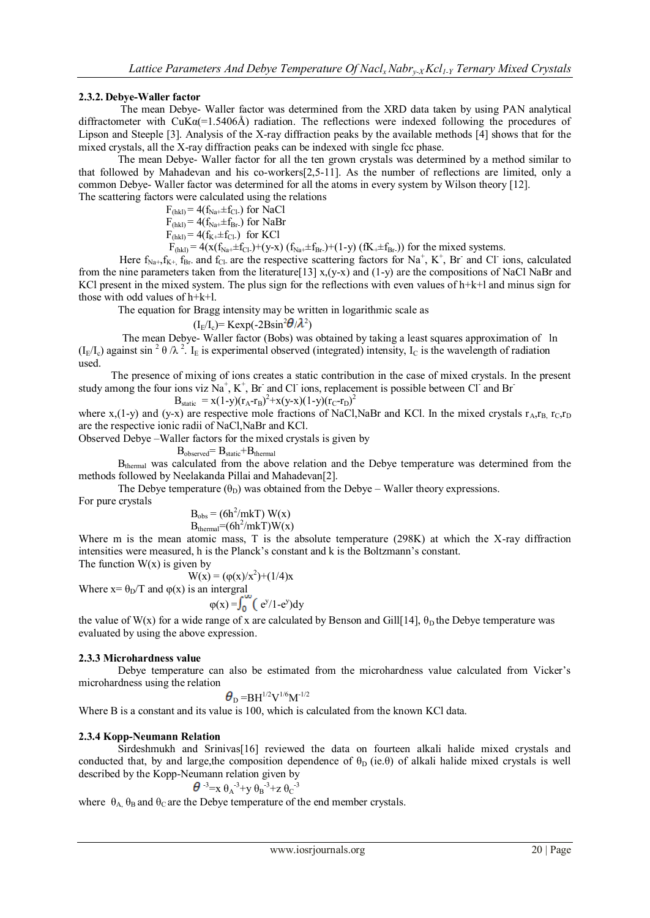# **2.3.2. Debye-Waller factor**

The mean Debye- Waller factor was determined from the XRD data taken by using PAN analytical diffractometer with  $CuKa(=1.5406\text{\AA})$  radiation. The reflections were indexed following the procedures of Lipson and Steeple [3]. Analysis of the X-ray diffraction peaks by the available methods [4] shows that for the mixed crystals, all the X-ray diffraction peaks can be indexed with single fcc phase.

The mean Debye- Waller factor for all the ten grown crystals was determined by a method similar to that followed by Mahadevan and his co-workers[2,5-11]. As the number of reflections are limited, only a common Debye- Waller factor was determined for all the atoms in every system by Wilson theory [12]. The scattering factors were calculated using the relations

 $F_{(hkl)} = 4(f_{Na^+} \pm f_{Cl^-})$  for NaCl  $F_{\text{(hkl)}} = 4(f_{\text{Na}+} \pm f_{\text{Br}})$  for NaBr  $F_{\text{(hkl)}} = 4(f_{K+} \pm f_{\text{Cl-}})$  for KCl

 $F_{(hkl)} = 4(x(f_{Na^+} \pm f_{Cl^-}) + (y-x)(f_{Na^+} \pm f_{Br^-}) + (1-y)(f_{K^+} \pm f_{Br^-}))$  for the mixed systems.

Here  $f_{Na+}, f_{K+}, f_{Br}$  and  $f_{Cl}$  are the respective scattering factors for Na<sup>+</sup>, K<sup>+</sup>, Br and Cl ions, calculated from the nine parameters taken from the literature [13]  $x(y-x)$  and (1-y) are the compositions of NaCl NaBr and KCl present in the mixed system. The plus sign for the reflections with even values of  $h+k+1$  and minus sign for those with odd values of h+k+l.

The equation for Bragg intensity may be written in logarithmic scale as

 $(I_{E}/I_{c})$  = Kexp(-2Bsin<sup>2</sup> $\theta/\lambda^{2}$ )

 The mean Debye- Waller factor (Bobs) was obtained by taking a least squares approximation of ln  $(I_E/I_c)$  against sin <sup>2</sup>  $\theta$  / $\lambda$ <sup>2</sup>. I<sub>E</sub> is experimental observed (integrated) intensity, I<sub>C</sub> is the wavelength of radiation used.

 The presence of mixing of ions creates a static contribution in the case of mixed crystals. In the present study among the four ions viz  $\mathrm{Na}^+$ ,  $\mathrm{K}^+$ , Br and Cl ions, replacement is possible between Cl and Br 2

$$
B_{static} = x(1-y)(r_A - r_B)^2 + x(y-x)(1-y)(r_C - r_D)
$$

where x,(1-y) and (y-x) are respective mole fractions of NaCl,NaBr and KCl. In the mixed crystals  $r_A$ , $r_B$ ,  $r_C$ , $r_D$ are the respective ionic radii of NaCl,NaBr and KCl.

Observed Debye –Waller factors for the mixed crystals is given by

 $B_{observed}=B_{static}+B_{thermal}$ 

B<sub>thermal</sub> was calculated from the above relation and the Debye temperature was determined from the methods followed by Neelakanda Pillai and Mahadevan[2].

The Debye temperature  $(\theta_D)$  was obtained from the Debye – Waller theory expressions.

For pure crystals

$$
B_{\text{obs}} = (6h^2/mkT) W(x)
$$
  
B<sub>thermal</sub>= (6h<sup>2</sup>/mkT)W(x)

Where m is the mean atomic mass, T is the absolute temperature (298K) at which the X-ray diffraction intensities were measured, h is the Planck's constant and k is the Boltzmann's constant.

The function  $W(x)$  is given by

$$
W(x) = (\varphi(x)/x^2) + (1/4)x
$$
  
Where x=  $\theta_D/T$  and  $\varphi(x)$  is an integral

where 
$$
x = \theta_D t
$$
 and  $\phi(x)$  is an integral  

$$
\phi(x) = \int_0^\infty (e^y/1-e^y) dy
$$

the value of W(x) for a wide range of x are calculated by Benson and Gill[14],  $\theta_D$  the Debye temperature was evaluated by using the above expression.

# **2.3.3 Microhardness value**

Debye temperature can also be estimated from the microhardness value calculated from Vicker's microhardness using the relation

 $\boldsymbol{\theta}_{\rm D}\!=\!\!{\rm BH}^{1/2}{\rm V}^{1/6}{\rm M}^{ \text{-1/2}}$ 

Where B is a constant and its value is 100, which is calculated from the known KCl data.

# **2.3.4 Kopp-Neumann Relation**

Sirdeshmukh and Srinivas[16] reviewed the data on fourteen alkali halide mixed crystals and conducted that, by and large,the composition dependence of  $\theta_D$  (ie. $\theta$ ) of alkali halide mixed crystals is well described by the Kopp-Neumann relation given by

$$
\theta^{-3} = x \theta_A^{-3} + y \theta_B^{-3} + z \theta_C^{-3}
$$

where  $\theta_{A}$ ,  $\theta_{B}$  and  $\theta_{C}$  are the Debye temperature of the end member crystals.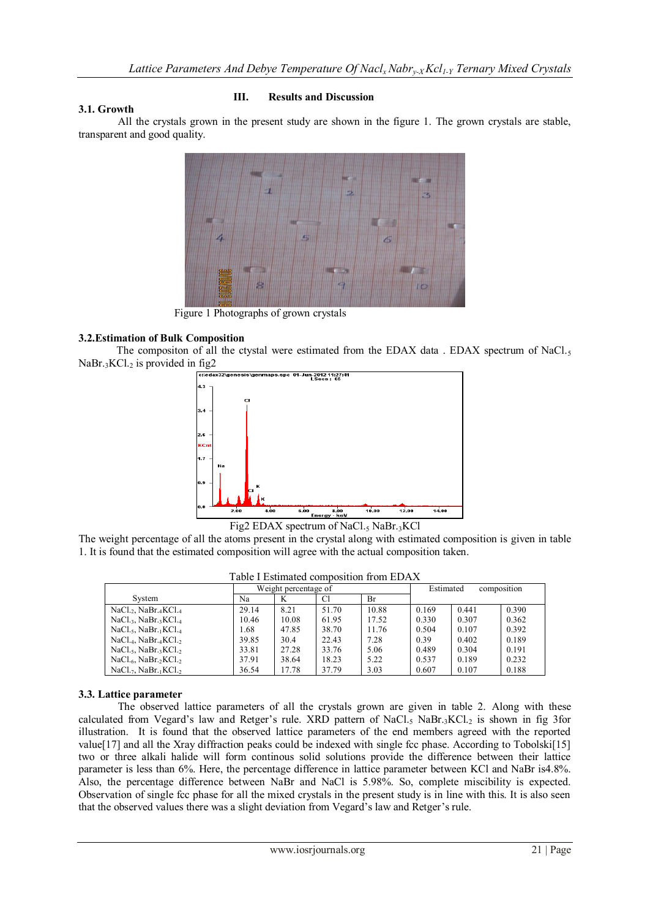# **3.1. Growth**

#### **III. Results and Discussion**

All the crystals grown in the present study are shown in the figure 1. The grown crystals are stable, transparent and good quality.



Figure 1 Photographs of grown crystals

#### **3.2.Estimation of Bulk Composition**

The compositon of all the ctystal were estimated from the EDAX data . EDAX spectrum of  $NaCl<sub>5</sub>$  $NaBr_{3}KCl_{2}$  is provided in fig2



Fig2 EDAX spectrum of NaCl.<sub>5</sub> NaBr.3KCl

The weight percentage of all the atoms present in the crystal along with estimated composition is given in table 1. It is found that the estimated composition will agree with the actual composition taken.

|                                                           | Weight percentage of |       |       |       | composition<br>Estimated |       |       |  |
|-----------------------------------------------------------|----------------------|-------|-------|-------|--------------------------|-------|-------|--|
| System                                                    | Na                   | K     | Сl    | Br    |                          |       |       |  |
| $NaCl_{22}$ , $NaBr_{4}KCl_{4}$                           | 29.14                | 8.21  | 51.70 | 10.88 | 0.169                    | 0.441 | 0.390 |  |
| $NaCl_{3}$ , $NaBr_{3}KCl_{4}$                            | 10.46                | 10.08 | 61.95 | 17.52 | 0.330                    | 0.307 | 0.362 |  |
| $NaCl_{.5}$ , NaBr. KCl.4                                 | 1.68                 | 47.85 | 38.70 | 11.76 | 0.504                    | 0.107 | 0.392 |  |
| $NaCl_{.4}$ , $NaBr_{.4}KCl_{.2}$                         | 39.85                | 30.4  | 22.43 | 7.28  | 0.39                     | 0.402 | 0.189 |  |
| NaCl. <sub>5</sub> , NaBr. <sub>3</sub> KCl. <sub>2</sub> | 33.81                | 27.28 | 33.76 | 5.06  | 0.489                    | 0.304 | 0.191 |  |
| $NaCl_{.6}$ , $NaBr_{.2}KCl_{.2}$                         | 37.91                | 38.64 | 18.23 | 5.22  | 0.537                    | 0.189 | 0.232 |  |
| NaCl.7. NaBr.1KCl.2                                       | 36.54                | 17.78 | 37.79 | 3.03  | 0.607                    | 0.107 | 0.188 |  |

Table I Estimated composition from EDAX

#### **3.3. Lattice parameter**

The observed lattice parameters of all the crystals grown are given in table 2. Along with these calculated from Vegard's law and Retger's rule. XRD pattern of NaCl.<sub>5</sub> NaBr.<sub>3</sub>KCl.<sub>2</sub> is shown in fig 3for illustration. It is found that the observed lattice parameters of the end members agreed with the reported value[17] and all the Xray diffraction peaks could be indexed with single fcc phase. According to Tobolski[15] two or three alkali halide will form continous solid solutions provide the difference between their lattice parameter is less than 6%. Here, the percentage difference in lattice parameter between KCl and NaBr is4.8%. Also, the percentage difference between NaBr and NaCl is 5.98%. So, complete miscibility is expected. Observation of single fcc phase for all the mixed crystals in the present study is in line with this. It is also seen that the observed values there was a slight deviation from Vegard's law and Retger's rule.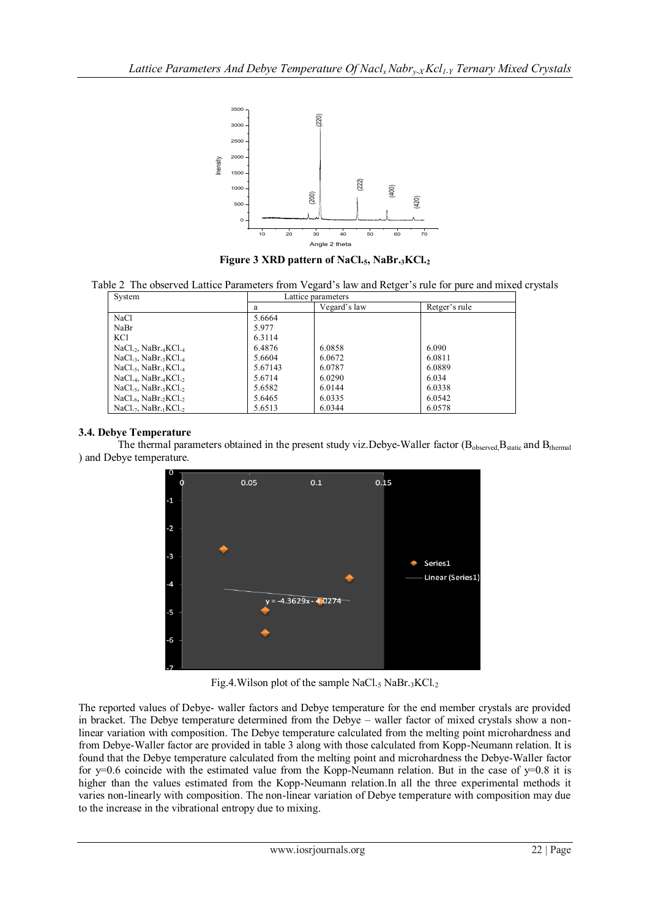

**Figure 3 XRD pattern of NaCl.5, NaBr.3KCl.<sup>2</sup>**

Table 2 The observed Lattice Parameters from Vegard's law and Retger's rule for pure and mixed crystals

| System                                                    | Lattice parameters |              |               |  |  |  |
|-----------------------------------------------------------|--------------------|--------------|---------------|--|--|--|
|                                                           | a                  | Vegard's law | Retger's rule |  |  |  |
| NaCl                                                      | 5.6664             |              |               |  |  |  |
| NaBr                                                      | 5.977              |              |               |  |  |  |
| KC1                                                       | 6.3114             |              |               |  |  |  |
| $NaCl_{2}$ , NaBr.4KCl.4                                  | 6.4876             | 6.0858       | 6.090         |  |  |  |
| $NaCl_{3}$ , NaBr. $KCl_{4}$                              | 5.6604             | 6.0672       | 6.0811        |  |  |  |
| $NaCl25, NaBr11KCl4$                                      | 5.67143            | 6.0787       | 6.0889        |  |  |  |
| NaCl. <sub>4</sub> , NaBr. <sub>4</sub> KCl. <sub>2</sub> | 5.6714             | 6.0290       | 6.034         |  |  |  |
| $NaCl.5$ , $NaBr.3KCl.5$                                  | 5.6582             | 6.0144       | 6.0338        |  |  |  |
| NaCl. <sub>6</sub> , NaBr. <sub>2</sub> KCl. <sub>2</sub> | 5.6465             | 6.0335       | 6.0542        |  |  |  |
| $NaCl.7$ , $NaBr.1KCl.2$                                  | 5.6513             | 6.0344       | 6.0578        |  |  |  |

#### **3.4. Debye Temperature**

The thermal parameters obtained in the present study viz. Debye-Waller factor (B<sub>observed,</sub>B<sub>static</sub> and B<sub>thermal</sub> ) and Debye temperature.



Fig.4. Wilson plot of the sample NaCl.<sub>5</sub> NaBr.<sub>3</sub>KCl.<sub>2</sub>

The reported values of Debye- waller factors and Debye temperature for the end member crystals are provided in bracket. The Debye temperature determined from the Debye – waller factor of mixed crystals show a nonlinear variation with composition. The Debye temperature calculated from the melting point microhardness and from Debye-Waller factor are provided in table 3 along with those calculated from Kopp-Neumann relation. It is found that the Debye temperature calculated from the melting point and microhardness the Debye-Waller factor for  $y=0.6$  coincide with the estimated value from the Kopp-Neumann relation. But in the case of  $y=0.8$  it is higher than the values estimated from the Kopp-Neumann relation.In all the three experimental methods it varies non-linearly with composition. The non-linear variation of Debye temperature with composition may due to the increase in the vibrational entropy due to mixing.